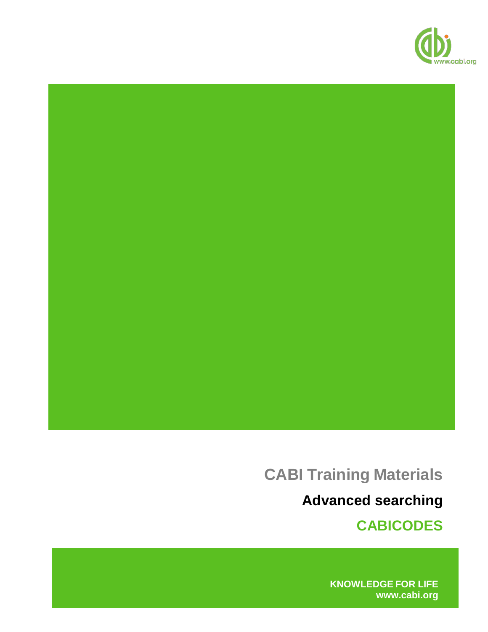

# **CABI Training Materials**

**Advanced searching**

**CABICODES**

**KNOWLEDGE FOR LIFE [www.cabi.org](http://www.cabi.org/)**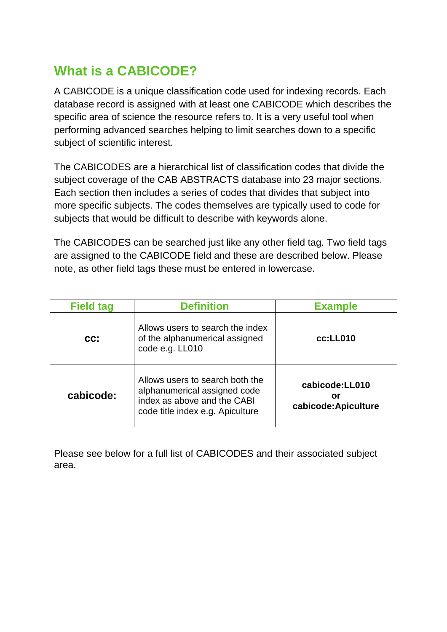# **What is a CABICODE?**

A CABICODE is a unique classification code used for indexing records. Each database record is assigned with at least one CABICODE which describes the specific area of science the resource refers to. It is a very useful tool when performing advanced searches helping to limit searches down to a specific subject of scientific interest.

The CABICODES are a hierarchical list of classification codes that divide the subject coverage of the CAB ABSTRACTS database into 23 major sections. Each section then includes a series of codes that divides that subject into more specific subjects. The codes themselves are typically used to code for subjects that would be difficult to describe with keywords alone.

The CABICODES can be searched just like any other field tag. Two field tags are assigned to the CABICODE field and these are described below. Please note, as other field tags these must be entered in lowercase.

| <b>Field tag</b> | <b>Definition</b>                                                                                                                  | <b>Example</b>                               |
|------------------|------------------------------------------------------------------------------------------------------------------------------------|----------------------------------------------|
| $cc$ :           | Allows users to search the index<br>of the alphanumerical assigned<br>code e.g. LL010                                              | cc:LL010                                     |
| cabicode:        | Allows users to search both the<br>alphanumerical assigned code<br>index as above and the CABI<br>code title index e.g. Apiculture | cabicode:LL010<br>or<br>cabicode: Apiculture |

Please see below for a full list of CABICODES and their associated subject area.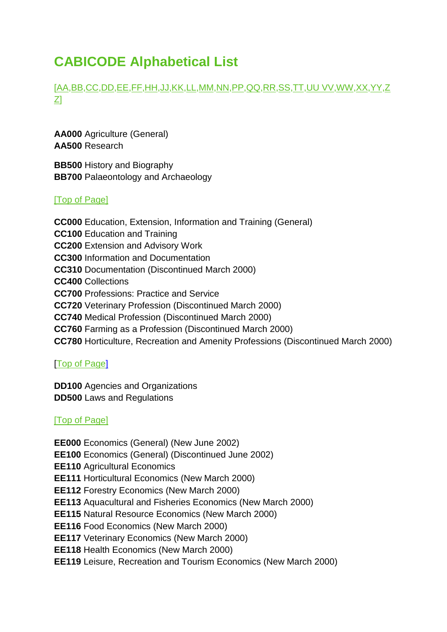# <span id="page-2-5"></span>**CABICODE Alphabetical List**

# [\[AA](#page-2-0)[,BB,](#page-2-1)[CC](#page-2-2)[,DD](#page-2-3)[,EE](#page-2-4)[,FF](#page-3-0)[,HH](#page-4-0)[,JJ](#page-4-1)[,KK,](#page-4-2)[LL](#page-5-0)[,MM,](#page-6-0)[NN](#page-6-1)[,PP](#page-7-0)[,QQ](#page-7-1)[,RR](#page-8-0)[,SS](#page-8-1)[,TT](#page-8-2)[,UU](#page-8-3) [VV](#page-8-3)[,WW](#page-10-0)[,XX](#page-10-1)[,YY,](#page-10-2)[Z](#page-11-0) [Z\]](#page-11-0)

<span id="page-2-0"></span>**AA000** Agriculture (General) **AA500** Research

<span id="page-2-1"></span>**BB500** History and Biography **BB700** Palaeontology and Archaeology

#### [\[Top of Page\]](#page-2-5)

<span id="page-2-2"></span>**CC000** Education, Extension, Information and Training (General) **CC100** Education and Training **CC200** Extension and Advisory Work **CC300** Information and Documentation **CC310** Documentation (Discontinued March 2000) **CC400** Collections **CC700** Professions: Practice and Service **CC720** Veterinary Profession (Discontinued March 2000) **CC740** Medical Profession (Discontinued March 2000) **CC760** Farming as a Profession (Discontinued March 2000) **CC780** Horticulture, Recreation and Amenity Professions (Discontinued March 2000)

# [\[Top of Page\]](#page-2-5)

<span id="page-2-3"></span>**DD100** Agencies and Organizations **DD500** Laws and Regulations

# [\[Top of Page\]](#page-2-5)

<span id="page-2-4"></span>**EE000** Economics (General) (New June 2002) **EE100** Economics (General) (Discontinued June 2002) **EE110** Agricultural Economics **EE111** Horticultural Economics (New March 2000) **EE112** Forestry Economics (New March 2000) **EE113** Aquacultural and Fisheries Economics (New March 2000) **EE115** Natural Resource Economics (New March 2000) **EE116** Food Economics (New March 2000) **EE117** Veterinary Economics (New March 2000) **EE118** Health Economics (New March 2000) **EE119** Leisure, Recreation and Tourism Economics (New March 2000)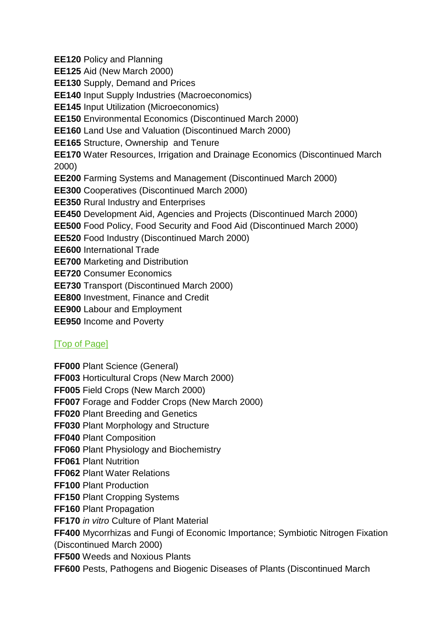**EE120** Policy and Planning

**EE125** Aid (New March 2000)

**EE130** Supply, Demand and Prices

**EE140** Input Supply Industries (Macroeconomics)

**EE145** Input Utilization (Microeconomics)

**EE150** Environmental Economics (Discontinued March 2000)

**EE160** Land Use and Valuation (Discontinued March 2000)

**EE165** Structure, Ownership and Tenure

**EE170** Water Resources, Irrigation and Drainage Economics (Discontinued March) 2000)

**EE200** Farming Systems and Management (Discontinued March 2000)

**EE300** Cooperatives (Discontinued March 2000)

**EE350** Rural Industry and Enterprises

**EE450** Development Aid, Agencies and Projects (Discontinued March 2000)

**EE500** Food Policy, Food Security and Food Aid (Discontinued March 2000)

**EE520** Food Industry (Discontinued March 2000)

**EE600** International Trade

**EE700** Marketing and Distribution

**EE720** Consumer Economics

**EE730** Transport (Discontinued March 2000)

**EE800** Investment, Finance and Credit

**EE900** Labour and Employment

**EE950** Income and Poverty

# [\[Top of Page\]](#page-2-5)

<span id="page-3-0"></span>**FF000** Plant Science (General)

**FF003** Horticultural Crops (New March 2000)

**FF005** Field Crops (New March 2000)

**FF007** Forage and Fodder Crops (New March 2000)

**FF020** Plant Breeding and Genetics

**FF030** Plant Morphology and Structure

**FF040** Plant Composition

**FF060** Plant Physiology and Biochemistry

**FF061** Plant Nutrition

**FF062** Plant Water Relations

**FF100** Plant Production

**FF150** Plant Cropping Systems

**FF160** Plant Propagation

**FF170** *in vitro* Culture of Plant Material

**FF400** Mycorrhizas and Fungi of Economic Importance; Symbiotic Nitrogen Fixation (Discontinued March 2000)

**FF500** Weeds and Noxious Plants

**FF600** Pests, Pathogens and Biogenic Diseases of Plants (Discontinued March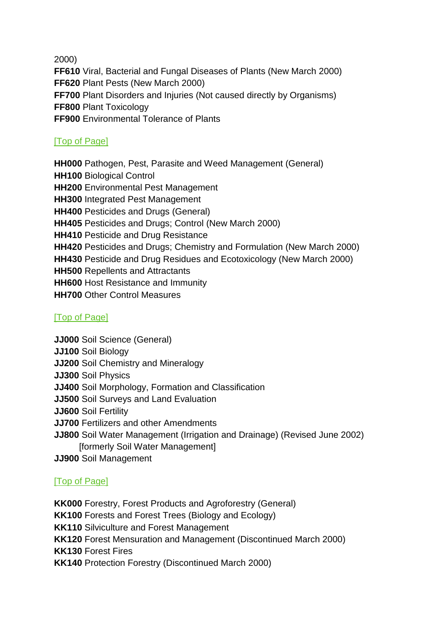2000)

**FF610** Viral, Bacterial and Fungal Diseases of Plants (New March 2000) **FF620** Plant Pests (New March 2000) **FF700** Plant Disorders and Injuries (Not caused directly by Organisms) **FF800** Plant Toxicology **FF900** Environmental Tolerance of Plants

# [\[Top of Page\]](#page-2-5)

<span id="page-4-0"></span>**HH000** Pathogen, Pest, Parasite and Weed Management (General) **HH100** Biological Control **HH200** Environmental Pest Management **HH300** Integrated Pest Management **HH400** Pesticides and Drugs (General) **HH405** Pesticides and Drugs; Control (New March 2000) **HH410** Pesticide and Drug Resistance **HH420** Pesticides and Drugs; Chemistry and Formulation (New March 2000) **HH430** Pesticide and Drug Residues and Ecotoxicology (New March 2000) **HH500** Repellents and Attractants **HH600** Host Resistance and Immunity **HH700** Other Control Measures

# <span id="page-4-1"></span>[\[Top of Page\]](#page-2-5)

**JJ000** Soil Science (General) **JJ100** Soil Biology **JJ200** Soil Chemistry and Mineralogy **JJ300** Soil Physics **JJ400** Soil Morphology, Formation and Classification **JJ500** Soil Surveys and Land Evaluation **JJ600** Soil Fertility **JJ700** Fertilizers and other Amendments **JJ800** Soil Water Management (Irrigation and Drainage) (Revised June 2002) [formerly Soil Water Management] **JJ900** Soil Management

# [\[Top of Page\]](#page-2-5)

<span id="page-4-2"></span>**KK000** Forestry, Forest Products and Agroforestry (General) **KK100** Forests and Forest Trees (Biology and Ecology) **KK110** Silviculture and Forest Management **KK120** Forest Mensuration and Management (Discontinued March 2000) **KK130** Forest Fires **KK140** Protection Forestry (Discontinued March 2000)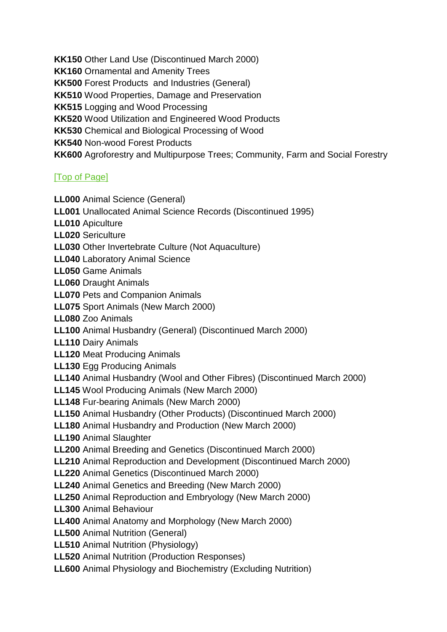**KK150** Other Land Use (Discontinued March 2000) **KK160** Ornamental and Amenity Trees **KK500** Forest Products and Industries (General) **KK510** Wood Properties, Damage and Preservation **KK515** Logging and Wood Processing **KK520** Wood Utilization and Engineered Wood Products **KK530** Chemical and Biological Processing of Wood **KK540** Non-wood Forest Products **KK600** Agroforestry and Multipurpose Trees; Community, Farm and Social Forestry

#### [\[Top of Page\]](#page-2-5)

- <span id="page-5-0"></span>**LL000** Animal Science (General)
- **LL001** Unallocated Animal Science Records (Discontinued 1995)
- **LL010** Apiculture
- **LL020** Sericulture
- **LL030** Other Invertebrate Culture (Not Aquaculture)
- **LL040** Laboratory Animal Science
- **LL050** Game Animals
- **LL060** Draught Animals
- **LL070** Pets and Companion Animals
- **LL075** Sport Animals (New March 2000)
- **LL080** Zoo Animals
- **LL100** Animal Husbandry (General) (Discontinued March 2000)
- **LL110** Dairy Animals
- **LL120** Meat Producing Animals
- **LL130** Egg Producing Animals
- **LL140** Animal Husbandry (Wool and Other Fibres) (Discontinued March 2000)
- **LL145** Wool Producing Animals (New March 2000)
- **LL148** Fur-bearing Animals (New March 2000)
- **LL150** Animal Husbandry (Other Products) (Discontinued March 2000)
- **LL180** Animal Husbandry and Production (New March 2000)
- **LL190** Animal Slaughter
- **LL200** Animal Breeding and Genetics (Discontinued March 2000)
- **LL210** Animal Reproduction and Development (Discontinued March 2000)
- **LL220** Animal Genetics (Discontinued March 2000)
- **LL240** Animal Genetics and Breeding (New March 2000)
- **LL250** Animal Reproduction and Embryology (New March 2000)
- **LL300** Animal Behaviour
- **LL400** Animal Anatomy and Morphology (New March 2000)
- **LL500** Animal Nutrition (General)
- **LL510** Animal Nutrition (Physiology)
- **LL520** Animal Nutrition (Production Responses)
- **LL600** Animal Physiology and Biochemistry (Excluding Nutrition)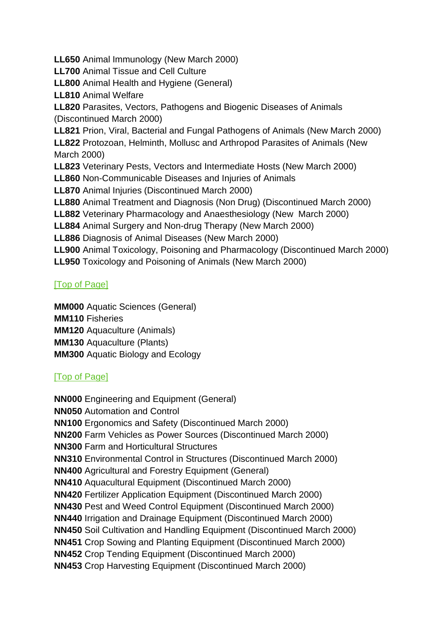**LL700** Animal Tissue and Cell Culture **LL800** Animal Health and Hygiene (General) **LL810** Animal Welfare **LL820** Parasites, Vectors, Pathogens and Biogenic Diseases of Animals (Discontinued March 2000) **LL821** Prion, Viral, Bacterial and Fungal Pathogens of Animals (New March 2000) **LL822** Protozoan, Helminth, Mollusc and Arthropod Parasites of Animals (New March 2000) **LL823** Veterinary Pests, Vectors and Intermediate Hosts (New March 2000) **LL860** Non-Communicable Diseases and Injuries of Animals **LL870** Animal Injuries (Discontinued March 2000) **LL880** Animal Treatment and Diagnosis (Non Drug) (Discontinued March 2000) **LL882** Veterinary Pharmacology and Anaesthesiology (New March 2000) **LL884** Animal Surgery and Non-drug Therapy (New March 2000) **LL886** Diagnosis of Animal Diseases (New March 2000) **LL900** Animal Toxicology, Poisoning and Pharmacology (Discontinued March 2000) **LL950** Toxicology and Poisoning of Animals (New March 2000)

#### <span id="page-6-0"></span>[\[Top of Page\]](#page-2-5)

**MM000** Aquatic Sciences (General) **MM110** Fisheries **MM120** Aquaculture (Animals) **MM130** Aquaculture (Plants) **MM300** Aquatic Biology and Ecology

**LL650** Animal Immunology (New March 2000)

# [\[Top of Page\]](#page-6-1)

<span id="page-6-1"></span>**NN000** Engineering and Equipment (General) **NN050** Automation and Control **NN100** Ergonomics and Safety (Discontinued March 2000) **NN200** Farm Vehicles as Power Sources (Discontinued March 2000) **NN300** Farm and Horticultural Structures **NN310** Environmental Control in Structures (Discontinued March 2000) **NN400** Agricultural and Forestry Equipment (General) **NN410** Aquacultural Equipment (Discontinued March 2000) **NN420** Fertilizer Application Equipment (Discontinued March 2000) **NN430** Pest and Weed Control Equipment (Discontinued March 2000) **NN440** Irrigation and Drainage Equipment (Discontinued March 2000) **NN450** Soil Cultivation and Handling Equipment (Discontinued March 2000) **NN451** Crop Sowing and Planting Equipment (Discontinued March 2000) **NN452** Crop Tending Equipment (Discontinued March 2000) **NN453** Crop Harvesting Equipment (Discontinued March 2000)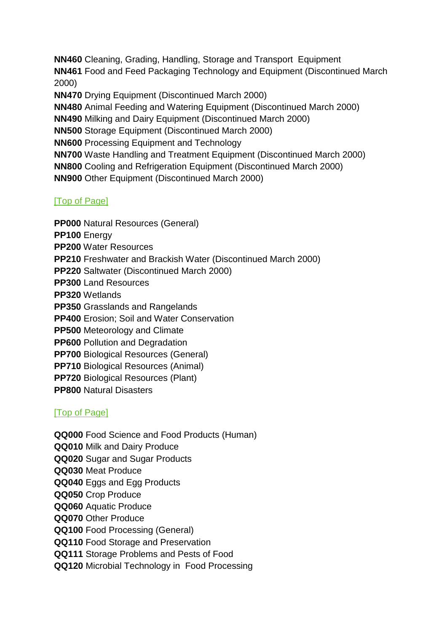**NN460** Cleaning, Grading, Handling, Storage and Transport Equipment **NN461** Food and Feed Packaging Technology and Equipment (Discontinued March 2000) **NN470** Drying Equipment (Discontinued March 2000) **NN480** Animal Feeding and Watering Equipment (Discontinued March 2000) **NN490** Milking and Dairy Equipment (Discontinued March 2000) **NN500** Storage Equipment (Discontinued March 2000) **NN600** Processing Equipment and Technology **NN700** Waste Handling and Treatment Equipment (Discontinued March 2000)

**NN800** Cooling and Refrigeration Equipment (Discontinued March 2000)

**NN900** Other Equipment (Discontinued March 2000)

#### [\[Top of Page\]](#page-7-0)

<span id="page-7-0"></span>**PP000** Natural Resources (General)

**PP100** Energy

**PP200** Water Resources

**PP210** Freshwater and Brackish Water (Discontinued March 2000)

**PP220** Saltwater (Discontinued March 2000)

**PP300** Land Resources

**PP320** Wetlands

**PP350** Grasslands and Rangelands

**PP400** Erosion; Soil and Water Conservation

**PP500** Meteorology and Climate

**PP600** Pollution and Degradation

**PP700** Biological Resources (General)

**PP710** Biological Resources (Animal)

**PP720** Biological Resources (Plant)

**PP800** Natural Disasters

# [\[Top of Page\]](#page-7-1)

<span id="page-7-1"></span>**QQ000** Food Science and Food Products (Human) **QQ010** Milk and Dairy Produce **QQ020** Sugar and Sugar Products **QQ030** Meat Produce **QQ040** Eggs and Egg Products **QQ050** Crop Produce **QQ060** Aquatic Produce **QQ070** Other Produce **QQ100** Food Processing (General) **QQ110** Food Storage and Preservation **QQ111** Storage Problems and Pests of Food **QQ120** Microbial Technology in Food Processing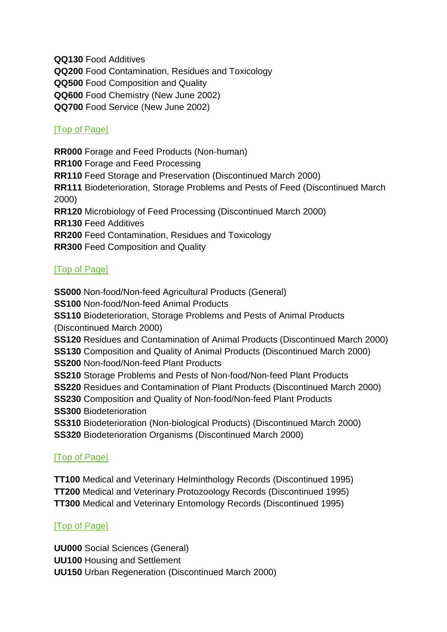**QQ130** Food Additives **QQ200** Food Contamination, Residues and Toxicology **QQ500** Food Composition and Quality **QQ600** Food Chemistry (New June 2002) **QQ700** Food Service (New June 2002)

#### [\[Top of Page\]](#page-8-0)

<span id="page-8-0"></span>**RR000** Forage and Feed Products (Non-human) **RR100** Forage and Feed Processing **RR110** Feed Storage and Preservation (Discontinued March 2000) **RR111** Biodeterioration, Storage Problems and Pests of Feed (Discontinued March 2000) **RR120** Microbiology of Feed Processing (Discontinued March 2000) **RR130** Feed Additives **RR200** Feed Contamination, Residues and Toxicology **RR300** Feed Composition and Quality

#### [\[Top of Page\]](#page-2-5)

<span id="page-8-1"></span>**SS000** Non-food/Non-feed Agricultural Products (General) **SS100** Non-food/Non-feed Animal Products **SS110** Biodeterioration, Storage Problems and Pests of Animal Products (Discontinued March 2000) **SS120** Residues and Contamination of Animal Products (Discontinued March 2000) **SS130** Composition and Quality of Animal Products (Discontinued March 2000) **SS200** Non-food/Non-feed Plant Products **SS210** Storage Problems and Pests of Non-food/Non-feed Plant Products **SS220** Residues and Contamination of Plant Products (Discontinued March 2000) **SS230** Composition and Quality of Non-food/Non-feed Plant Products **SS300** Biodeterioration **SS310** Biodeterioration (Non-biological Products) (Discontinued March 2000) **SS320** Biodeterioration Organisms (Discontinued March 2000)

#### [\[Top of Page\]](#page-2-5)

<span id="page-8-2"></span>**TT100** Medical and Veterinary Helminthology Records (Discontinued 1995) **TT200** Medical and Veterinary Protozoology Records (Discontinued 1995) **TT300** Medical and Veterinary Entomology Records (Discontinued 1995)

#### [\[Top of Page\]](#page-2-5)

<span id="page-8-3"></span>**UU000** Social Sciences (General) **UU100** Housing and Settlement **UU150** Urban Regeneration (Discontinued March 2000)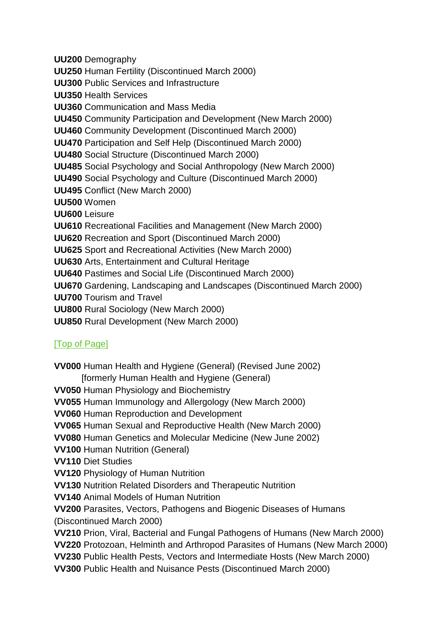**UU200** Demography **UU250** Human Fertility (Discontinued March 2000) **UU300** Public Services and Infrastructure **UU350** Health Services **UU360** Communication and Mass Media **UU450** Community Participation and Development (New March 2000) **UU460** Community Development (Discontinued March 2000) **UU470** Participation and Self Help (Discontinued March 2000) **UU480** Social Structure (Discontinued March 2000) **UU485** Social Psychology and Social Anthropology (New March 2000) **UU490** Social Psychology and Culture (Discontinued March 2000) **UU495** Conflict (New March 2000) **UU500** Women **UU600** Leisure **UU610** Recreational Facilities and Management (New March 2000) **UU620** Recreation and Sport (Discontinued March 2000) **UU625** Sport and Recreational Activities (New March 2000) **UU630** Arts, Entertainment and Cultural Heritage **UU640** Pastimes and Social Life (Discontinued March 2000) **UU670** Gardening, Landscaping and Landscapes (Discontinued March 2000) **UU700** Tourism and Travel **UU800** Rural Sociology (New March 2000)

**UU850** Rural Development (New March 2000)

#### [\[Top of Page\]](#page-2-5)

**VV000** Human Health and Hygiene (General) (Revised June 2002) [formerly Human Health and Hygiene (General) **VV050** Human Physiology and Biochemistry **VV055** Human Immunology and Allergology (New March 2000) **VV060** Human Reproduction and Development **VV065** Human Sexual and Reproductive Health (New March 2000) **VV080** Human Genetics and Molecular Medicine (New June 2002) **VV100** Human Nutrition (General) **VV110** Diet Studies **VV120** Physiology of Human Nutrition **VV130** Nutrition Related Disorders and Therapeutic Nutrition **VV140** Animal Models of Human Nutrition **VV200** Parasites, Vectors, Pathogens and Biogenic Diseases of Humans (Discontinued March 2000) **VV210** Prion, Viral, Bacterial and Fungal Pathogens of Humans (New March 2000) **VV220** Protozoan, Helminth and Arthropod Parasites of Humans (New March 2000) **VV230** Public Health Pests, Vectors and Intermediate Hosts (New March 2000) **VV300** Public Health and Nuisance Pests (Discontinued March 2000)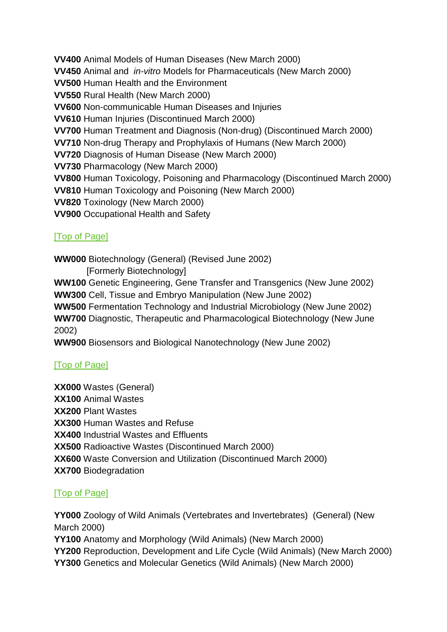**VV400** Animal Models of Human Diseases (New March 2000)

**VV450** Animal and *in-vitro* Models for Pharmaceuticals (New March 2000)

**VV500** Human Health and the Environment

**VV550** Rural Health (New March 2000)

**VV600** Non-communicable Human Diseases and Injuries

**VV610** Human Injuries (Discontinued March 2000)

**VV700** Human Treatment and Diagnosis (Non-drug) (Discontinued March 2000)

**VV710** Non-drug Therapy and Prophylaxis of Humans (New March 2000)

**VV720** Diagnosis of Human Disease (New March 2000)

**VV730** Pharmacology (New March 2000)

**VV800** Human Toxicology, Poisoning and Pharmacology (Discontinued March 2000)

**VV810** Human Toxicology and Poisoning (New March 2000)

**VV820** Toxinology (New March 2000)

**VV900** Occupational Health and Safety

# [\[Top of Page\]](#page-10-0)

<span id="page-10-0"></span>**WW000** Biotechnology (General) (Revised June 2002)

[Formerly Biotechnology]

**WW100** Genetic Engineering, Gene Transfer and Transgenics (New June 2002) **WW300** Cell, Tissue and Embryo Manipulation (New June 2002)

**WW500** Fermentation Technology and Industrial Microbiology (New June 2002)

**WW700** Diagnostic, Therapeutic and Pharmacological Biotechnology (New June 2002)

**WW900** Biosensors and Biological Nanotechnology (New June 2002)

# [\[Top of Page\]](#page-2-5)

<span id="page-10-1"></span>**XX000** Wastes (General) **XX100** Animal Wastes **XX200** Plant Wastes **XX300** Human Wastes and Refuse **XX400** Industrial Wastes and Effluents **XX500** Radioactive Wastes (Discontinued March 2000) **XX600** Waste Conversion and Utilization (Discontinued March 2000) **XX700** Biodegradation

# [\[Top of Page\]](#page-2-5)

<span id="page-10-2"></span>**YY000** Zoology of Wild Animals (Vertebrates and Invertebrates) (General) (New March 2000) **YY100** Anatomy and Morphology (Wild Animals) (New March 2000) **YY200** Reproduction, Development and Life Cycle (Wild Animals) (New March 2000)

**YY300** Genetics and Molecular Genetics (Wild Animals) (New March 2000)